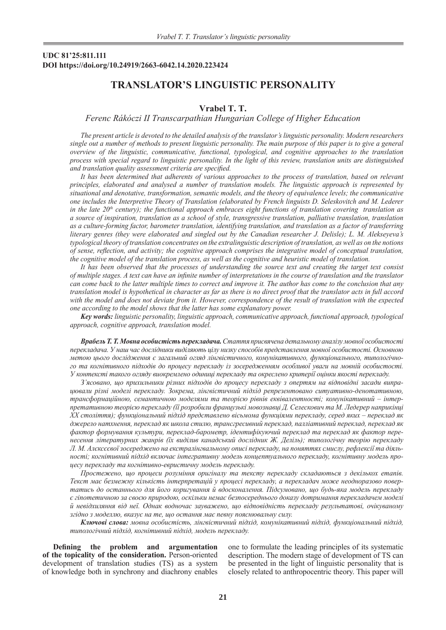## **UDC 81'25:811.111 DOI https://doi.org/10.24919/2663-6042.14.2020.223424**

# **ТRANSLATOR'S LINGUISTIC PERSONALITY**

### **Vrabel Т. Т.**

#### *Ferenc Rákóczi II Transcarpathian Hungarian College of Higher Education*

*The present article is devoted to the detailed analysis of the translator's linguistic personality. Modern researchers single out a number of methods to present linguistic personality. The main purpose of this paper is to give a general overview of the linguistic, communicative, functional, typological, and cognitive approaches to the translation process with special regard to linguistic personality. In the light of this review, translation units are distinguished and translation quality assessment criteria are specified.* 

*It has been determined that adherents of various approaches to the process of translation, based on relevant principles, elaborated and analysed a number of translation models. The linguistic approach is represented by situational and denotative, transformation, semantic models, and the theory of equivalence levels; the communicative one includes the Interpretive Theory of Translation (elaborated by French linguists D. Seleskovitch and M. Lederer in the late*  $20<sup>th</sup>$  *century); the functional approach embraces eight functions of translation covering translation as a source of inspiration, translation as a school of style, transgressive translation, palliative translation, translation as a culture-forming factor, barometer translation, identifying translation, and translation as a factor of transferring literary genres (they were elaborated and singled out by the Canadian researcher J. Delisle); L. M. Alekseyeva's typological theory of translation concentrates on the extralinguistic description of translation, as well as on the notions of sense, reflection, and activity; the cognitive approach comprises the integrative model of conceptual translation, the cognitive model of the translation process, as well as the cognitive and heuristic model of translation.* 

*It has been observed that the processes of understanding the source text and creating the target text consist of multiple stages. A text can have an infinite number of interpretations in the course of translation and the translator can come back to the latter multiple times to correct and improve it. The author has come to the conclusion that any translation model is hypothetical in character as far as there is no direct proof that the translator acts in full accord with the model and does not deviate from it. However, correspondence of the result of translation with the expected one according to the model shows that the latter has some explanatory power.*

*Key words: linguistic personality, linguistic approach, communicative approach, functional approach, typological approach, cognitive approach, translation model.*

*ВрабельТ.Т. Мовна особистість перекладача. Стаття присвячена детальному аналізу мовної особистості перекладача. У наш час дослідники виділяють цілу низку способів представлення мовної особистості. Основною метою цього дослідження є загальний огляд лінгвістичного, комунікативного, функціонального, типологічного та когнітивного підходів до процесу перекладу із зосередженням особливої уваги на мовній особистості. У контексті такого огляду виокремлено одиниці перекладу та окреслено критерії оцінки якості перекладу.*

*З'ясовано, що прихильники різних підходів до процесу перекладу з опертям на відповідні засади випрацювали різні моделі перекладу. Зокрема, лінгвістичний підхід репрезентовано ситуативно-денотативною, трансформаційною, семантичною моделями та теорією рівнів еквівалентності; комунікативний – інтерпретативною теорією перекладу (її розробили французькі мовознавці Д. Селескович та М. Ледерер наприкінці ХХ століття); функціональний підхід представлено вісьмома функціями перекладу, серед яких – переклад як джерело натхнення, переклад як школа стилю, трансгресивний переклад, палліативний переклад, переклад як фактор формування культури, переклад-барометр, ідентифікуючий переклад та переклад як фактор перенесення літературних жанрів (їх виділив канадський дослідник Ж. Деліль); типологічну теорію перекладу Л. M. Алєксєєвої зосереджено на екстралінгвальному описі перекладу, на поняттях смислу, рефлексії та діяльності; когнітивний підхід включає інтегративну модель концептуального перекладу, когнітивну модель процесу перекладу та когнітивно-евристичну модель перекладу.*

*Простежено, що процеси розуміння оригіналу та тексту перекладу складаються з декількох етапів. Текст має безмежну кількість інтерпретацій у процесі перекладу, а перекладач може неодноразово повертатись до останнього для його коригування й вдосконалення. Підсумовано, що будь-яка модель перекладу є гіпотетичною за своєю природою, оскільки немає безпосереднього доказу дотримання перекладачем моделі й невідхиляння від неї. Однак водночас зауважено, що відповідність перекладу результатові, очікуваному згідно з моделлю, вказує на те, що остання має певну пояснювальну силу.*

*Ключові слова: мовна особистість, лінгвістичний підхід, комунікативний підхід, функціональний підхід, типологічний підхід, когнітивний підхід, модель перекладу.*

**Defining the problem and argumentation of the topicality of the consideration.** Person-oriented development of translation studies (TS) as a system of knowledge both in synchrony and diachrony enables

one to formulate the leading principles of its systematic description. The modern stage of development of TS can be presented in the light of linguistic personality that is closely related to anthropocentric theory. This paper will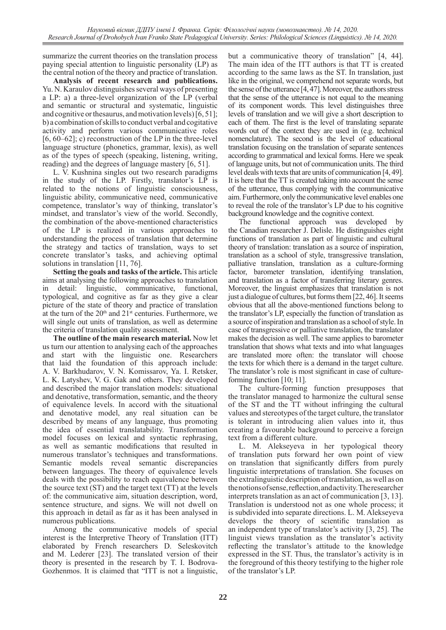summarize the current theories on the translation process paying special attention to linguistic personality (LP) as the central notion of the theory and practice of translation.

**Analysis of recent research and publications.**  Yu. N. Karaulov distinguishes several ways of presenting a LP: a) a three-level organization of the LP (verbal and semantic or structural and systematic, linguistic and cognitive or thesaurus, and motivation levels) [6, 51]; b) a combination of skills to conduct verbal and cogitative activity and perform various communicative roles [6,  $60-62$ ]; c) reconstruction of the LP in the three-level language structure (phonetics, grammar, lexis), as well as of the types of speech (speaking, listening, writing, reading) and the degrees of language mastery [6, 51].

L. V. Kushnina singles out two research paradigms in the study of the LP. Firstly, translator's LP is related to the notions of linguistic consciousness, linguistic ability, communicative need, communicative competence, translator's way of thinking, translator's mindset, and translator's view of the world. Secondly, the combination of the above-mentioned characteristics of the LP is realized in various approaches to understanding the process of translation that determine the strategy and tactics of translation, ways to set concrete translator's tasks, and achieving optimal solutions in translation [11, 76].

**Setting the goals and tasks of the article.** This article aims at analysing the following approaches to translation in detail: linguistic, communicative, functional, typological, and cognitive as far as they give a clear picture of the state of theory and practice of translation at the turn of the  $20<sup>th</sup>$  and  $21<sup>st</sup>$  centuries. Furthermore, we will single out units of translation, as well as determine the criteria of translation quality assessment.

**The outline of the main research material.** Now let us turn our attention to analysing each of the approaches and start with the linguistic one. Researchers that laid the foundation of this approach include: A. V. Barkhudarov, V. N. Komissarov, Ya. I. Retsker, L. K. Latyshev, V. G. Gak and others. They developed and described the major translation models: situational and denotative, transformation, semantic, and the theory of equivalence levels. In accord with the situational and denotative model, any real situation can be described by means of any language, thus promoting the idea of essential translatability. Transformation model focuses on lexical and syntactic rephrasing, as well as semantic modifications that resulted in numerous translator's techniques and transformations. Semantic models reveal semantic discrepancies between languages. The theory of equivalence levels deals with the possibility to reach equivalence between the source text (ST) and the target text (TT) at the levels of: the communicative aim, situation description, word, sentence structure, and signs. We will not dwell on this approach in detail as far as it has been analysed in numerous publications.

Among the communicative models of special interest is the Interpretive Theory of Translation (ITT) elaborated by French researchers D. Seleskovitch and M. Lederer [23]. The translated version of their theory is presented in the research by T. I. Bodrova-Gozhenmos. It is claimed that "ITT is not a linguistic, but a communicative theory of translation" [4, 44]. The main idea of the ITT authors is that TT is created according to the same laws as the ST. In translation, just like in the original, we comprehend not separate words, but the sense of the utterance [4, 47]. Moreover, the authors stress that the sense of the utterance is not equal to the meaning of its component words. This level distinguishes three levels of translation and we will give a short description to each of them. The first is the level of translating separate words out of the context they are used in (e.g. technical nomenclature). The second is the level of educational translation focusing on the translation of separate sentences according to grammatical and lexical forms. Here we speak of language units, but not of communication units. The third level deals with texts that are units of communication [4, 49]. It is here that the TT is created taking into account the sense of the utterance, thus complying with the communicative aim. Furthermore, only the communicative level enables one to reveal the role of the translator's LP due to his cognitive background knowledge and the cognitive context.

The functional approach was developed by the Canadian researcher J. Delisle. He distinguishes eight functions of translation as part of linguistic and cultural theory of translation: translation as a source of inspiration, translation as a school of style, transgressive translation, palliative translation, translation as a culture-forming factor, barometer translation, identifying translation, and translation as a factor of transferring literary genres. Moreover, the linguist emphasizes that translation is not just a dialogue of cultures, but forms them [22, 46]. It seems obvious that all the above-mentioned functions belong to the translator's LP, especially the function of translation as a source of inspiration and translation as a school of style. In case of transgressive or palliative translation, the translator makes the decision as well. The same applies to barometer translation that shows what texts and into what languages are translated more often: the translator will choose the texts for which there is a demand in the target culture. The translator's role is most significant in case of cultureforming function [10; 11].

The culture-forming function presupposes that the translator managed to harmonize the cultural sense of the ST and the TT without infringing the cultural values and stereotypes of the target culture, the translator is tolerant in introducing alien values into it, thus creating a favourable background to perceive a foreign text from a different culture.

L. M. Alekseyeva in her typological theory of translation puts forward her own point of view on translation that significantly differs from purely linguistic interpretations of translation. She focuses on the extralinguistic description of translation, as well as on the notions of sense, reflection, and activity. The researcher interprets translation as an act of communication [3, 13]. Translation is understood not as one whole process; it is subdivided into separate directions. L. M. Alekseyeva develops the theory of scientific translation as an independent type of translator's activity [3, 25]. The linguist views translation as the translator's activity reflecting the translator's attitude to the knowledge expressed in the ST. Thus, the translator's activity is in the foreground of this theory testifying to the higher role of the translator's LP.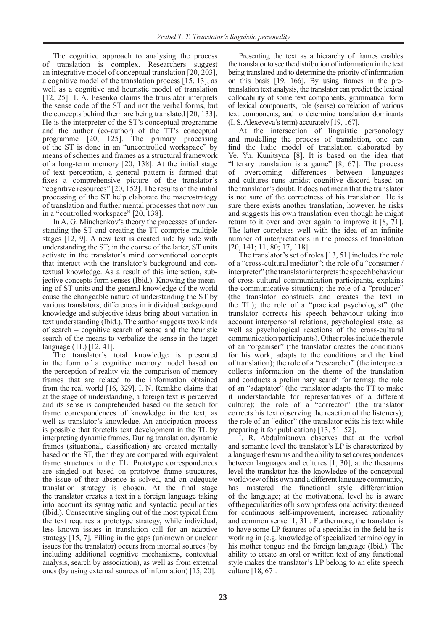The cognitive approach to analysing the process of translation is complex. Researchers suggest an integrative model of conceptual translation [20, 203], a cognitive model of the translation process [15, 13], as well as a cognitive and heuristic model of translation [12, 25]. T. A. Fesenko claims the translator interprets the sense code of the ST and not the verbal forms, but the concepts behind them are being translated [20, 133]. He is the interpreter of the ST's conceptual programme and the author (co-author) of the TT's conceptual programme [20, 125]. The primary processing of the ST is done in an "uncontrolled workspace" by means of schemes and frames as a structural framework of a long-term memory [20, 138]. At the initial stage of text perception, a general pattern is formed that fixes a comprehensive picture of the translator's "cognitive resources" [20, 152]. The results of the initial processing of the ST help elaborate the macrostrategy of translation and further mental processes that now run in a "controlled workspace" [20, 138].

In A. G. Minchenkov's theory the processes of understanding the ST and creating the TT comprise multiple stages [12, 9]. A new text is created side by side with understanding the ST; in the course of the latter, ST units activate in the translator's mind conventional concepts that interact with the translator's background and contextual knowledge. As a result of this interaction, subjective concepts form senses (Ibid.). Knowing the meaning of ST units and the general knowledge of the world cause the changeable nature of understanding the ST by various translators; differences in individual background knowledge and subjective ideas bring about variation in text understanding (Ibid.). The author suggests two kinds of search – cognitive search of sense and the heuristic search of the means to verbalize the sense in the target language (TL) [12, 41].

The translator's total knowledge is presented in the form of a cognitive memory model based on the perception of reality via the comparison of memory frames that are related to the information obtained from the real world [16, 329]. I. N. Remkhe claims that at the stage of understanding, a foreign text is perceived and its sense is comprehended based on the search for frame correspondences of knowledge in the text, as well as translator's knowledge. An anticipation process is possible that foretells text development in the TL by interpreting dynamic frames. During translation, dynamic frames (situational, classification) are created mentally based on the ST, then they are compared with equivalent frame structures in the TL. Prototype correspondences are singled out based on prototype frame structures, the issue of their absence is solved, and an adequate translation strategy is chosen. At the final stage the translator creates a text in a foreign language taking into account its syntagmatic and syntactic peculiarities (Ibid.). Consecutive singling out of the most typical from the text requires a prototype strategy, while individual, less known issues in translation call for an adaptive strategy [15, 7]. Filling in the gaps (unknown or unclear issues for the translator) occurs from internal sources (by including additional cognitive mechanisms, contextual analysis, search by association), as well as from external ones (by using external sources of information) [15, 20].

Presenting the text as a hierarchy of frames enables the translator to see the distribution of information in the text being translated and to determine the priority of information on this basis [19, 166]. By using frames in the pretranslation text analysis, the translator can predict the lexical collocability of some text components, grammatical form of lexical components, role (sense) correlation of various text components, and to determine translation dominants (I. S.Alexeyeva's term) accurately [19, 167].

At the intersection of linguistic personology and modelling the process of translation, one can find the ludic model of translation elaborated by Ye. Yu. Kunitsyna [8]. It is based on the idea that "literary translation is a game" [8, 67]. The process of overcoming differences between languages and cultures runs amidst cognitive discord based on the translator's doubt. It does not mean that the translator is not sure of the correctness of his translation. He is sure there exists another translation, however, he risks and suggests his own translation even though he might return to it over and over again to improve it [8, 71]. The latter correlates well with the idea of an infinite number of interpretations in the process of translation [20, 141; 11, 80; 17, 118].

The translator's set of roles [13, 51] includes the role of a "cross-cultural mediator"; the role of a "consumer / interpreter" (the translator interprets the speech behaviour of cross-cultural communication participants, explains the communicative situation); the role of a "producer" (the translator constructs and creates the text in the TL); the role of a "practical psychologist" (the translator corrects his speech behaviour taking into account interpersonal relations, psychological state, as well as psychological reactions of the cross-cultural communication participants). Other roles include the role of an "organiser" (the translator creates the conditions for his work, adapts to the conditions and the kind of translation); the role of a "researcher" (the interpreter collects information on the theme of the translation and conducts a preliminary search for terms); the role of an "adaptator" (the translator adapts the TT to make it understandable for representatives of a different culture); the role of a "corrector" (the translator corrects his text observing the reaction of the listeners); the role of an "editor" (the translator edits his text while preparing it for publication) [13, 51–52].

I. R. Abdulmianova observes that at the verbal and semantic level the translator's LP is characterized by a language thesaurus and the ability to set correspondences between languages and cultures [1, 30]; at the thesaurus level the translator has the knowledge of the conceptual worldview of his own and a different language community, has mastered the functional style differentiation of the language; at the motivational level he is aware of the peculiarities of his own professional activity; the need for continuous self-improvement, increased rationality and common sense  $[1, 31]$ . Furthermore, the translator is to have some LP features of a specialist in the field he is working in (e.g. knowledge of specialized terminology in his mother tongue and the foreign language (Ibid.). The ability to create an oral or written text of any functional style makes the translator's LP belong to an elite speech culture [18, 67].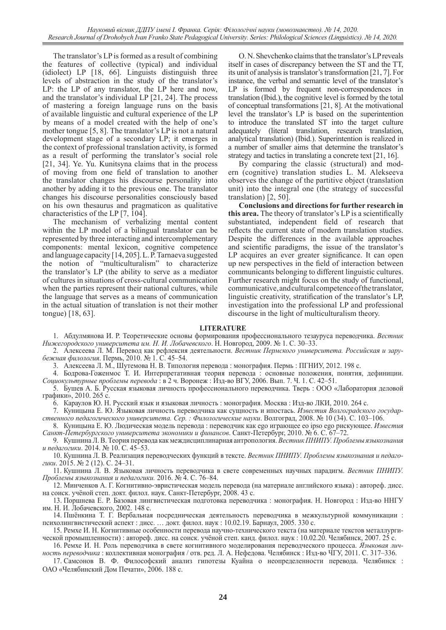The translator's LP is formed as a result of combining the features of collective (typical) and individual (idiolect) LP [18, 66]. Linguists distinguish three levels of abstraction in the study of the translator's LP: the LP of any translator, the LP here and now, and the translator's individual LP [21, 24]. The process of mastering a foreign language runs on the basis of available linguistic and cultural experience of the LP by means of a model created with the help of one's mother tongue [5, 8]. The translator's LP is not a natural development stage of a secondary LP; it emerges in the context of professional translation activity, is formed as a result of performing the translator's social role [21, 34]. Ye. Yu. Kunitsyna claims that in the process of moving from one field of translation to another the translator changes his discourse personality into another by adding it to the previous one. The translator changes his discourse personalities consciously based on his own thesaurus and pragmaticon as qualitative characteristics of the LP [7, 104].

The mechanism of verbalizing mental content within the LP model of a bilingual translator can be represented by three interacting and intercomplementary components: mental lexicon, cognitive competence and language capacity [14, 205]. L.P.Tarnaeva suggested the notion of "multiculturalism" to characterize the translator's LP (the ability to serve as a mediator of cultures in situations of cross-cultural communication when the parties represent their national cultures, while the language that serves as a means of communication in the actual situation of translation is not their mother tongue) [18, 63].

O.N.Shevchenko claims that the translator's LP reveals itself in cases of discrepancy between the ST and the TT, its unit of analysis is translator's transformation [21, 7]. For instance, the verbal and semantic level of the translator's LP is formed by frequent non-correspondences in translation (Ibid.), the cognitive level is formed by the total of conceptual transformations [21, 8]. At the motivational level the translator's LP is based on the superintention to introduce the translated ST into the target culture adequately (literal translation, research translation, analytical translation) (Ibid.). Superintention is realized in a number of smaller aims that determine the translator's strategy and tactics in translating a concrete text [21, 16].

By comparing the classic (structural) and modern (cognitive) translation studies L. M. Alekseeva observes the change of the partitive object (translation unit) into the integral one (the strategy of successful translation) [2, 50].

**Conclusions and directions for further research in this area.** The theory of translator's LP is a scientifically substantiated, independent field of research that reflects the current state of modern translation studies. Despite the differences in the available approaches and scientific paradigms, the issue of the translator's LP acquires an ever greater significance. It can open up new perspectives in the field of interaction between communicants belonging to different linguistic cultures. Further research might focus on the study of functional, communicative, and cultural competence of the translator, linguistic creativity, stratification of the translator's LP, investigation into the professional LP and professional discourse in the light of multiculturalism theory.

#### **LITERATURE**

1. Абдулмянова И. Р. Теоретические основы формирования профессионального тезауруса переводчика. *Вестник Нижегородского университета им. Н. И. Лобачевского*. Н. Новгород, 2009. № 1. С. 30–33.

2. Алексеева Л. М. Перевод как рефлексия деятельности. *Вестник Пермского университета. Российская и зарубежная филология*. Пермь, 2010. № 1. С. 45–54.

3. Алексеева Л. М., Шутемова Н. В. Типология перевода : монография. Пермь : ПГНИУ, 2012. 198 с.

4. Бодрова-Гоженмос Т. И. Интерпретативная теория перевода : основные положения, понятия, дефиниции. *Социокультурные проблемы перевода* : в 2 ч. Воронеж : Изд-во ВГУ, 2006. Вып. 7. Ч. 1. С. 42–51.

5. Бушев А. Б. Русская языковая личность профессионального переводчика. Тверь : ООО «Лаборатория деловой графики», 2010. 265 с.

6. Караулов Ю. Н. Русский язык и языковая личность : монография. Москва : Изд-во ЛКИ, 2010. 264 с.

7. Куницына Е. Ю. Языковая личность переводчика как сущность и ипостась. *Известия Волгоградского государственного педагогического университета. Сер. : Филологические науки*. Волгоград, 2008. № 10 (34). С. 103–106.

8. Куницына Е. Ю. Людическая модель перевода : переводчик как ego играющее eo ipso ego рискующее. *Известия Санкт-Петербургского университета экономики и финансов*. Санкт-Петербург, 2010. № 6. С. 67–72.

9. КушнинаЛ.В. Теория перевода как междисциплинарная антропология. *Вестник ПНИПУ. Проблемы языкознания и педагогики*. 2014. № 10. С. 45–53.

10. Кушнина Л. В. Реализация переводческих функций в тексте. *Вестник ПНИПУ. Проблемы языкознания и педагогики*. 2015. № 2 (12). С. 24–31.

11. Кушнина Л. В. Языковая личность переводчика в свете современных научных парадигм. *Вестник ПНИПУ. Проблемы языкознания и педагогики.* 2016. № 4. С. 76–84.

12. Минченков А. Г. Когнитивно-эвристическая модель перевода (на материале английского языка) : автореф. дисс. на соиск. учёной степ. докт. филол. наук. Санкт-Петербург, 2008. 43 с.

13. Поршнева Е. Р. Базовая лингвистическая подготовка переводчика : монография. Н. Новгород : Изд-во ННГУ им. Н. И. Лобачевского, 2002. 148 с.

14. Пшёнкина Т. Г. Вербальная посредническая деятельность переводчика в межкультурной коммуникации : психолингвистический аспект : дисс. … докт. филол. наук : 10.02.19. Барнаул, 2005. 330 с.

15. Ремхе И. Н. Когнитивные особенности перевода научно-технического текста (на материале текстов металлургической промышленности) : автореф. дисс. на соиск. учёной степ. канд. филол. наук : 10.02.20. Челябинск, 2007. 25 с.

16. Ремхе И. Н. Роль переводчика в свете когнитивного моделирования переводческого процесса. *Языковая личность переводчика* : коллективная монография / отв. ред. Л. А. Нефедова. Челябинск : Изд-во ЧГУ, 2011. С. 317–336.

17. Самсонов В. Ф. Философский анализ гипотезы Куайна о неопределенности перевода. Челябинск : ОАО «Челябинский Дом Печати», 2006. 188 с.